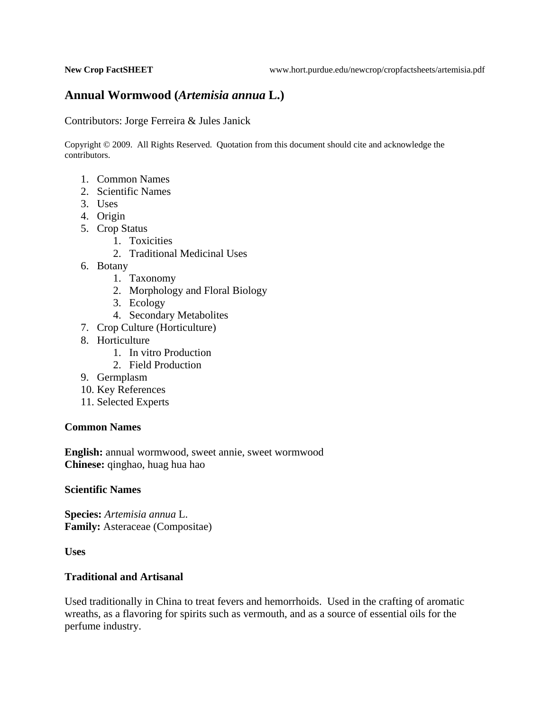# **Annual Wormwood (***Artemisia annua* **L.)**

Contributors: Jorge Ferreira & Jules Janick

Copyright © 2009. All Rights Reserved. Quotation from this document should cite and acknowledge the contributors.

- 1. Common Names
- 2. Scientific Names
- 3. Uses
- 4. Origin
- 5. Crop Status
	- 1. Toxicities
	- 2. Traditional Medicinal Uses
- 6. Botany
	- 1. Taxonomy
	- 2. Morphology and Floral Biology
	- 3. Ecology
	- 4. Secondary Metabolites
- 7. Crop Culture (Horticulture)
- 8. Horticulture
	- 1. In vitro Production
	- 2. Field Production
- 9. Germplasm
- 10. Key References
- 11. Selected Experts

#### **Common Names**

**English:** annual wormwood, sweet annie, sweet wormwood **Chinese:** qinghao, huag hua hao

### **Scientific Names**

**Species:** *Artemisia annua* L. **Family:** Asteraceae (Compositae)

**Uses** 

#### **Traditional and Artisanal**

Used traditionally in China to treat fevers and hemorrhoids. Used in the crafting of aromatic wreaths, as a flavoring for spirits such as vermouth, and as a source of essential oils for the perfume industry.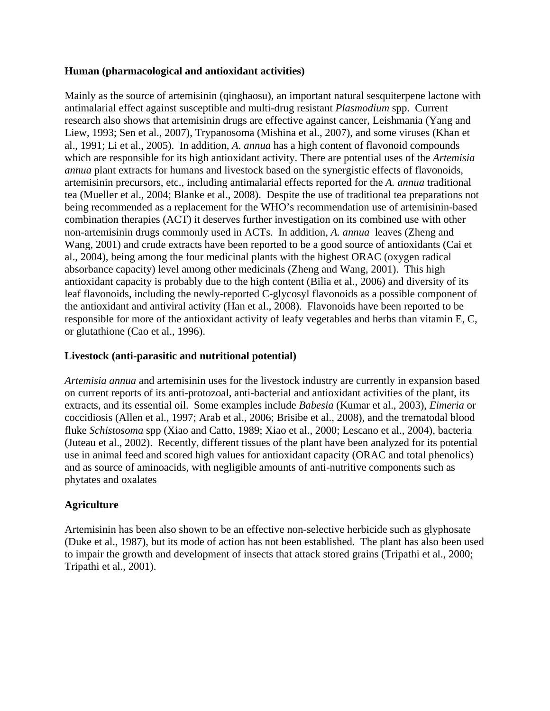### **Human (pharmacological and antioxidant activities)**

Mainly as the source of artemisinin (qinghaosu), an important natural sesquiterpene lactone with antimalarial effect against susceptible and multi-drug resistant *Plasmodium* spp. Current research also shows that artemisinin drugs are effective against cancer, Leishmania (Yang and Liew, 1993; Sen et al., 2007), Trypanosoma (Mishina et al., 2007), and some viruses (Khan et al., 1991; Li et al., 2005). In addition, *A. annua* has a high content of flavonoid compounds which are responsible for its high antioxidant activity. There are potential uses of the *Artemisia annua* plant extracts for humans and livestock based on the synergistic effects of flavonoids, artemisinin precursors, etc., including antimalarial effects reported for the *A. annua* traditional tea (Mueller et al., 2004; Blanke et al., 2008). Despite the use of traditional tea preparations not being recommended as a replacement for the WHO's recommendation use of artemisinin-based combination therapies (ACT) it deserves further investigation on its combined use with other non-artemisinin drugs commonly used in ACTs. In addition, *A. annua* leaves (Zheng and Wang, 2001) and crude extracts have been reported to be a good source of antioxidants (Cai et al., 2004), being among the four medicinal plants with the highest ORAC (oxygen radical absorbance capacity) level among other medicinals (Zheng and Wang, 2001). This high antioxidant capacity is probably due to the high content (Bilia et al., 2006) and diversity of its leaf flavonoids, including the newly-reported C-glycosyl flavonoids as a possible component of the antioxidant and antiviral activity (Han et al., 2008). Flavonoids have been reported to be responsible for more of the antioxidant activity of leafy vegetables and herbs than vitamin E, C, or glutathione (Cao et al., 1996).

## **Livestock (anti-parasitic and nutritional potential)**

*Artemisia annua* and artemisinin uses for the livestock industry are currently in expansion based on current reports of its anti-protozoal, anti-bacterial and antioxidant activities of the plant, its extracts, and its essential oil. Some examples include *Babesia* (Kumar et al., 2003), *Eimeria* or coccidiosis (Allen et al., 1997; Arab et al., 2006; Brisibe et al., 2008), and the trematodal blood fluke *Schistosoma* spp (Xiao and Catto, 1989; Xiao et al., 2000; Lescano et al., 2004), bacteria (Juteau et al., 2002). Recently, different tissues of the plant have been analyzed for its potential use in animal feed and scored high values for antioxidant capacity (ORAC and total phenolics) and as source of aminoacids, with negligible amounts of anti-nutritive components such as phytates and oxalates

## **Agriculture**

Artemisinin has been also shown to be an effective non-selective herbicide such as glyphosate (Duke et al., 1987), but its mode of action has not been established. The plant has also been used to impair the growth and development of insects that attack stored grains (Tripathi et al., 2000; Tripathi et al., 2001).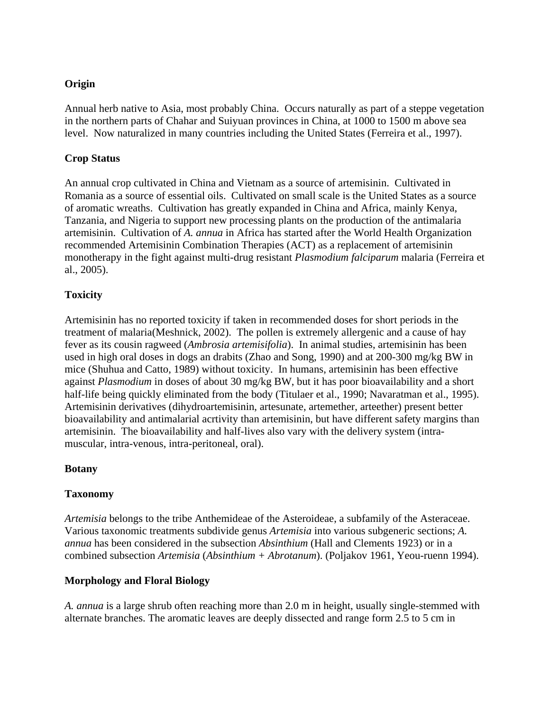## **Origin**

Annual herb native to Asia, most probably China. Occurs naturally as part of a steppe vegetation in the northern parts of Chahar and Suiyuan provinces in China, at 1000 to 1500 m above sea level. Now naturalized in many countries including the United States (Ferreira et al., 1997).

## **Crop Status**

An annual crop cultivated in China and Vietnam as a source of artemisinin. Cultivated in Romania as a source of essential oils. Cultivated on small scale is the United States as a source of aromatic wreaths. Cultivation has greatly expanded in China and Africa, mainly Kenya, Tanzania, and Nigeria to support new processing plants on the production of the antimalaria artemisinin. Cultivation of *A. annua* in Africa has started after the World Health Organization recommended Artemisinin Combination Therapies (ACT) as a replacement of artemisinin monotherapy in the fight against multi-drug resistant *Plasmodium falciparum* malaria (Ferreira et al., 2005).

## **Toxicity**

Artemisinin has no reported toxicity if taken in recommended doses for short periods in the treatment of malaria(Meshnick, 2002). The pollen is extremely allergenic and a cause of hay fever as its cousin ragweed (*Ambrosia artemisifolia*). In animal studies, artemisinin has been used in high oral doses in dogs an drabits (Zhao and Song, 1990) and at 200-300 mg/kg BW in mice (Shuhua and Catto, 1989) without toxicity. In humans, artemisinin has been effective against *Plasmodium* in doses of about 30 mg/kg BW, but it has poor bioavailability and a short half-life being quickly eliminated from the body (Titulaer et al., 1990; Navaratman et al., 1995). Artemisinin derivatives (dihydroartemisinin, artesunate, artemether, arteether) present better bioavailability and antimalarial acrtivity than artemisinin, but have different safety margins than artemisinin. The bioavailability and half-lives also vary with the delivery system (intramuscular, intra-venous, intra-peritoneal, oral).

## **Botany**

## **Taxonomy**

*Artemisia* belongs to the tribe Anthemideae of the Asteroideae, a subfamily of the Asteraceae. Various taxonomic treatments subdivide genus *Artemisia* into various subgeneric sections; *A. annua* has been considered in the subsection *Absinthium* (Hall and Clements 1923) or in a combined subsection *Artemisia* (*Absinthium + Abrotanum*). (Poljakov 1961, Yeou-ruenn 1994).

# **Morphology and Floral Biology**

*A. annua* is a large shrub often reaching more than 2.0 m in height, usually single-stemmed with alternate branches. The aromatic leaves are deeply dissected and range form 2.5 to 5 cm in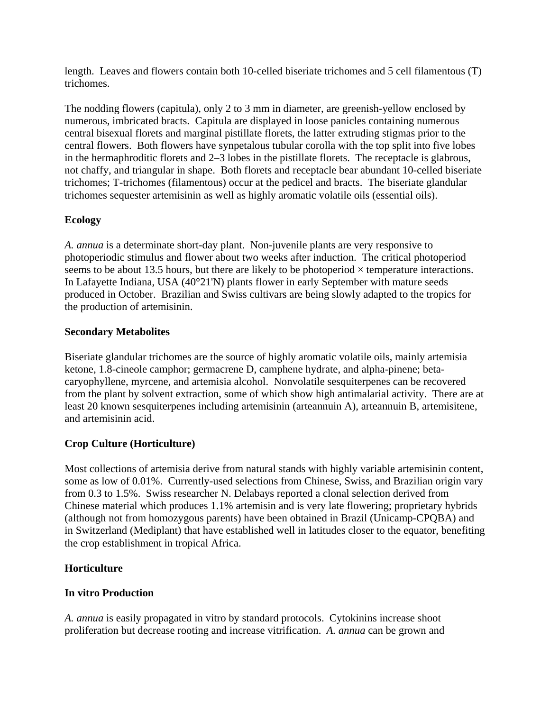length. Leaves and flowers contain both 10-celled biseriate trichomes and 5 cell filamentous (T) trichomes.

The nodding flowers (capitula), only 2 to 3 mm in diameter, are greenish-yellow enclosed by numerous, imbricated bracts. Capitula are displayed in loose panicles containing numerous central bisexual florets and marginal pistillate florets, the latter extruding stigmas prior to the central flowers. Both flowers have synpetalous tubular corolla with the top split into five lobes in the hermaphroditic florets and 2–3 lobes in the pistillate florets. The receptacle is glabrous, not chaffy, and triangular in shape. Both florets and receptacle bear abundant 10-celled biseriate trichomes; T-trichomes (filamentous) occur at the pedicel and bracts. The biseriate glandular trichomes sequester artemisinin as well as highly aromatic volatile oils (essential oils).

## **Ecology**

*A. annua* is a determinate short-day plant. Non-juvenile plants are very responsive to photoperiodic stimulus and flower about two weeks after induction. The critical photoperiod seems to be about 13.5 hours, but there are likely to be photoperiod  $\times$  temperature interactions. In Lafayette Indiana, USA (40°21'N) plants flower in early September with mature seeds produced in October. Brazilian and Swiss cultivars are being slowly adapted to the tropics for the production of artemisinin.

## **Secondary Metabolites**

Biseriate glandular trichomes are the source of highly aromatic volatile oils, mainly artemisia ketone, 1.8-cineole camphor; germacrene D, camphene hydrate, and alpha-pinene; betacaryophyllene, myrcene, and artemisia alcohol. Nonvolatile sesquiterpenes can be recovered from the plant by solvent extraction, some of which show high antimalarial activity. There are at least 20 known sesquiterpenes including artemisinin (arteannuin A), arteannuin B, artemisitene, and artemisinin acid.

# **Crop Culture (Horticulture)**

Most collections of artemisia derive from natural stands with highly variable artemisinin content, some as low of 0.01%. Currently-used selections from Chinese, Swiss, and Brazilian origin vary from 0.3 to 1.5%. Swiss researcher N. Delabays reported a clonal selection derived from Chinese material which produces 1.1% artemisin and is very late flowering; proprietary hybrids (although not from homozygous parents) have been obtained in Brazil (Unicamp-CPQBA) and in Switzerland (Mediplant) that have established well in latitudes closer to the equator, benefiting the crop establishment in tropical Africa.

## **Horticulture**

## **In vitro Production**

*A. annua* is easily propagated in vitro by standard protocols. Cytokinins increase shoot proliferation but decrease rooting and increase vitrification. *A. annua* can be grown and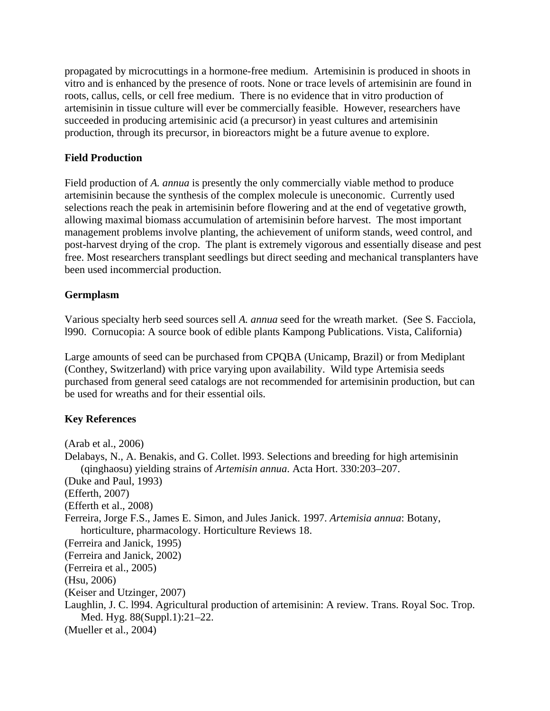propagated by microcuttings in a hormone-free medium. Artemisinin is produced in shoots in vitro and is enhanced by the presence of roots. None or trace levels of artemisinin are found in roots, callus, cells, or cell free medium. There is no evidence that in vitro production of artemisinin in tissue culture will ever be commercially feasible. However, researchers have succeeded in producing artemisinic acid (a precursor) in yeast cultures and artemisinin production, through its precursor, in bioreactors might be a future avenue to explore.

## **Field Production**

Field production of *A. annua* is presently the only commercially viable method to produce artemisinin because the synthesis of the complex molecule is uneconomic. Currently used selections reach the peak in artemisinin before flowering and at the end of vegetative growth, allowing maximal biomass accumulation of artemisinin before harvest. The most important management problems involve planting, the achievement of uniform stands, weed control, and post-harvest drying of the crop. The plant is extremely vigorous and essentially disease and pest free. Most researchers transplant seedlings but direct seeding and mechanical transplanters have been used incommercial production.

### **Germplasm**

Various specialty herb seed sources sell *A. annua* seed for the wreath market. (See S. Facciola, l990. Cornucopia: A source book of edible plants Kampong Publications. Vista, California)

Large amounts of seed can be purchased from CPQBA (Unicamp, Brazil) or from Mediplant (Conthey, Switzerland) with price varying upon availability. Wild type Artemisia seeds purchased from general seed catalogs are not recommended for artemisinin production, but can be used for wreaths and for their essential oils.

## **Key References**

(Arab et al., 2006) Delabays, N., A. Benakis, and G. Collet. l993. Selections and breeding for high artemisinin (qinghaosu) yielding strains of *Artemisin annua*. Acta Hort. 330:203–207. (Duke and Paul, 1993) (Efferth, 2007) (Efferth et al., 2008) Ferreira, Jorge F.S., James E. Simon, and Jules Janick. 1997. *Artemisia annua*: Botany, horticulture, pharmacology. Horticulture Reviews 18. (Ferreira and Janick, 1995) (Ferreira and Janick, 2002) (Ferreira et al., 2005) (Hsu, 2006) (Keiser and Utzinger, 2007) Laughlin, J. C. l994. Agricultural production of artemisinin: A review. Trans. Royal Soc. Trop. Med. Hyg. 88(Suppl.1):21–22. (Mueller et al., 2004)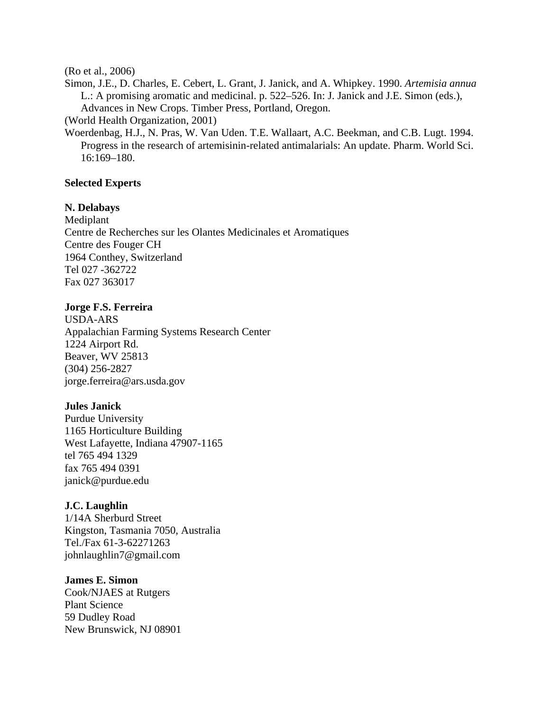(Ro et al., 2006)

Simon, J.E., D. Charles, E. Cebert, L. Grant, J. Janick, and A. Whipkey. 1990. *Artemisia annua* L.: A promising aromatic and medicinal. p. 522–526. In: J. Janick and J.E. Simon (eds.), Advances in New Crops. Timber Press, Portland, Oregon.

(World Health Organization, 2001)

Woerdenbag, H.J., N. Pras, W. Van Uden. T.E. Wallaart, A.C. Beekman, and C.B. Lugt. 1994. Progress in the research of artemisinin-related antimalarials: An update. Pharm. World Sci. 16:169–180.

### **Selected Experts**

### **N. Delabays**

Mediplant Centre de Recherches sur les Olantes Medicinales et Aromatiques Centre des Fouger CH 1964 Conthey, Switzerland Tel 027 -362722 Fax 027 363017

### **Jorge F.S. Ferreira**

USDA-ARS Appalachian Farming Systems Research Center 1224 Airport Rd. Beaver, WV 25813 (304) 256-2827 jorge.ferreira@ars.usda.gov

### **Jules Janick**

Purdue University 1165 Horticulture Building West Lafayette, Indiana 47907-1165 tel 765 494 1329 fax 765 494 0391 janick@purdue.edu

### **J.C. Laughlin**

1/14A Sherburd Street Kingston, Tasmania 7050, Australia Tel./Fax 61-3-62271263 johnlaughlin7@gmail.com

#### **James E. Simon**

Cook/NJAES at Rutgers Plant Science 59 Dudley Road New Brunswick, NJ 08901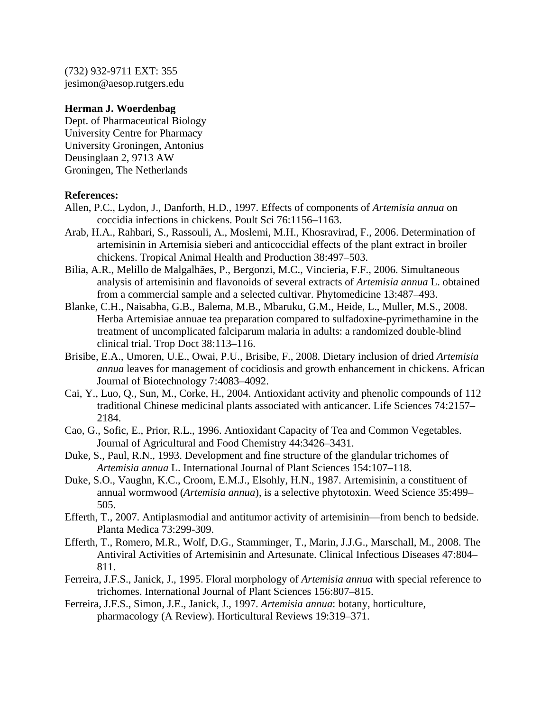(732) 932-9711 EXT: 355 jesimon@aesop.rutgers.edu

### **Herman J. Woerdenbag**

Dept. of Pharmaceutical Biology University Centre for Pharmacy University Groningen, Antonius Deusinglaan 2, 9713 AW Groningen, The Netherlands

### **References:**

- Allen, P.C., Lydon, J., Danforth, H.D., 1997. Effects of components of *Artemisia annua* on coccidia infections in chickens. Poult Sci 76:1156–1163.
- Arab, H.A., Rahbari, S., Rassouli, A., Moslemi, M.H., Khosravirad, F., 2006. Determination of artemisinin in Artemisia sieberi and anticoccidial effects of the plant extract in broiler chickens. Tropical Animal Health and Production 38:497–503.
- Bilia, A.R., Melillo de Malgalhães, P., Bergonzi, M.C., Vincieria, F.F., 2006. Simultaneous analysis of artemisinin and flavonoids of several extracts of *Artemisia annua* L. obtained from a commercial sample and a selected cultivar. Phytomedicine 13:487–493.
- Blanke, C.H., Naisabha, G.B., Balema, M.B., Mbaruku, G.M., Heide, L., Muller, M.S., 2008. Herba Artemisiae annuae tea preparation compared to sulfadoxine-pyrimethamine in the treatment of uncomplicated falciparum malaria in adults: a randomized double-blind clinical trial. Trop Doct 38:113–116.
- Brisibe, E.A., Umoren, U.E., Owai, P.U., Brisibe, F., 2008. Dietary inclusion of dried *Artemisia annua* leaves for management of cocidiosis and growth enhancement in chickens. African Journal of Biotechnology 7:4083–4092.
- Cai, Y., Luo, Q., Sun, M., Corke, H., 2004. Antioxidant activity and phenolic compounds of 112 traditional Chinese medicinal plants associated with anticancer. Life Sciences 74:2157– 2184.
- Cao, G., Sofic, E., Prior, R.L., 1996. Antioxidant Capacity of Tea and Common Vegetables. Journal of Agricultural and Food Chemistry 44:3426–3431.
- Duke, S., Paul, R.N., 1993. Development and fine structure of the glandular trichomes of *Artemisia annua* L. International Journal of Plant Sciences 154:107–118.
- Duke, S.O., Vaughn, K.C., Croom, E.M.J., Elsohly, H.N., 1987. Artemisinin, a constituent of annual wormwood (*Artemisia annua*), is a selective phytotoxin. Weed Science 35:499– 505.
- Efferth, T., 2007. Antiplasmodial and antitumor activity of artemisinin—from bench to bedside. Planta Medica 73:299-309.
- Efferth, T., Romero, M.R., Wolf, D.G., Stamminger, T., Marin, J.J.G., Marschall, M., 2008. The Antiviral Activities of Artemisinin and Artesunate. Clinical Infectious Diseases 47:804– 811.
- Ferreira, J.F.S., Janick, J., 1995. Floral morphology of *Artemisia annua* with special reference to trichomes. International Journal of Plant Sciences 156:807–815.
- Ferreira, J.F.S., Simon, J.E., Janick, J., 1997. *Artemisia annua*: botany, horticulture, pharmacology (A Review). Horticultural Reviews 19:319–371.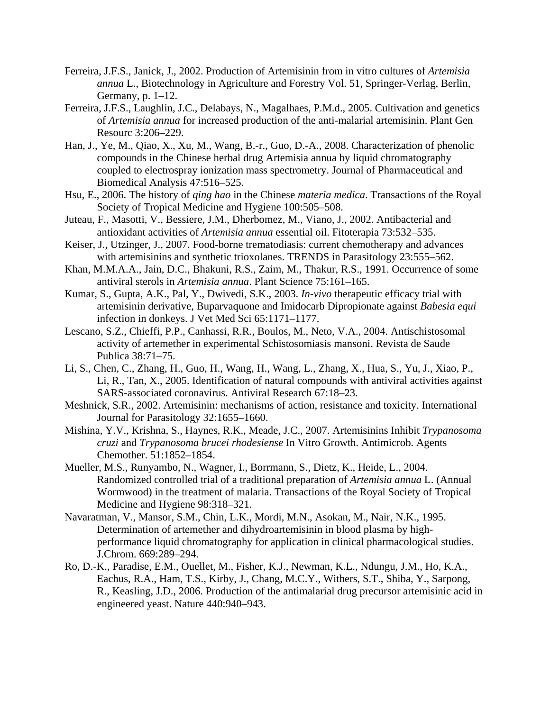- Ferreira, J.F.S., Janick, J., 2002. Production of Artemisinin from in vitro cultures of *Artemisia annua* L., Biotechnology in Agriculture and Forestry Vol. 51, Springer-Verlag, Berlin, Germany, p. 1–12.
- Ferreira, J.F.S., Laughlin, J.C., Delabays, N., Magalhaes, P.M.d., 2005. Cultivation and genetics of *Artemisia annua* for increased production of the anti-malarial artemisinin. Plant Gen Resourc 3:206–229.
- Han, J., Ye, M., Qiao, X., Xu, M., Wang, B.-r., Guo, D.-A., 2008. Characterization of phenolic compounds in the Chinese herbal drug Artemisia annua by liquid chromatography coupled to electrospray ionization mass spectrometry. Journal of Pharmaceutical and Biomedical Analysis 47:516–525.
- Hsu, E., 2006. The history of *qing hao* in the Chinese *materia medica*. Transactions of the Royal Society of Tropical Medicine and Hygiene 100:505–508.
- Juteau, F., Masotti, V., Bessiere, J.M., Dherbomez, M., Viano, J., 2002. Antibacterial and antioxidant activities of *Artemisia annua* essential oil. Fitoterapia 73:532–535.
- Keiser, J., Utzinger, J., 2007. Food-borne trematodiasis: current chemotherapy and advances with artemisinins and synthetic trioxolanes. TRENDS in Parasitology 23:555–562.
- Khan, M.M.A.A., Jain, D.C., Bhakuni, R.S., Zaim, M., Thakur, R.S., 1991. Occurrence of some antiviral sterols in *Artemisia annua*. Plant Science 75:161–165.
- Kumar, S., Gupta, A.K., Pal, Y., Dwivedi, S.K., 2003. *In-vivo* therapeutic efficacy trial with artemisinin derivative, Buparvaquone and Imidocarb Dipropionate against *Babesia equi* infection in donkeys. J Vet Med Sci 65:1171–1177.
- Lescano, S.Z., Chieffi, P.P., Canhassi, R.R., Boulos, M., Neto, V.A., 2004. Antischistosomal activity of artemether in experimental Schistosomiasis mansoni. Revista de Saude Publica 38:71–75.
- Li, S., Chen, C., Zhang, H., Guo, H., Wang, H., Wang, L., Zhang, X., Hua, S., Yu, J., Xiao, P., Li, R., Tan, X., 2005. Identification of natural compounds with antiviral activities against SARS-associated coronavirus. Antiviral Research 67:18–23.
- Meshnick, S.R., 2002. Artemisinin: mechanisms of action, resistance and toxicity. International Journal for Parasitology 32:1655–1660.
- Mishina, Y.V., Krishna, S., Haynes, R.K., Meade, J.C., 2007. Artemisinins Inhibit *Trypanosoma cruzi* and *Trypanosoma brucei rhodesiense* In Vitro Growth. Antimicrob. Agents Chemother. 51:1852–1854.
- Mueller, M.S., Runyambo, N., Wagner, I., Borrmann, S., Dietz, K., Heide, L., 2004. Randomized controlled trial of a traditional preparation of *Artemisia annua* L. (Annual Wormwood) in the treatment of malaria. Transactions of the Royal Society of Tropical Medicine and Hygiene 98:318–321.
- Navaratman, V., Mansor, S.M., Chin, L.K., Mordi, M.N., Asokan, M., Nair, N.K., 1995. Determination of artemether and dihydroartemisinin in blood plasma by highperformance liquid chromatography for application in clinical pharmacological studies. J.Chrom. 669:289–294.
- Ro, D.-K., Paradise, E.M., Ouellet, M., Fisher, K.J., Newman, K.L., Ndungu, J.M., Ho, K.A., Eachus, R.A., Ham, T.S., Kirby, J., Chang, M.C.Y., Withers, S.T., Shiba, Y., Sarpong, R., Keasling, J.D., 2006. Production of the antimalarial drug precursor artemisinic acid in engineered yeast. Nature 440:940–943.